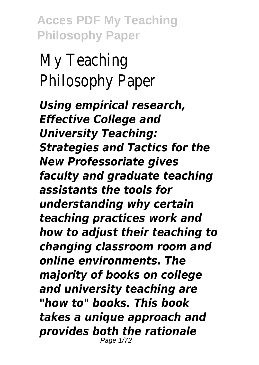My Teaching Philosophy Paper

*Using empirical research, Effective College and University Teaching: Strategies and Tactics for the New Professoriate gives faculty and graduate teaching assistants the tools for understanding why certain teaching practices work and how to adjust their teaching to changing classroom room and online environments. The majority of books on college and university teaching are "how to" books. This book takes a unique approach and provides both the rationale* Page 1/72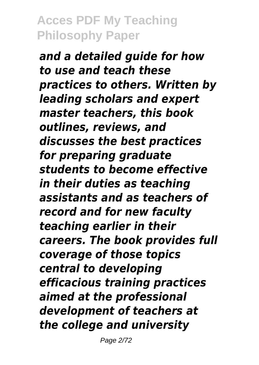*and a detailed guide for how to use and teach these practices to others. Written by leading scholars and expert master teachers, this book outlines, reviews, and discusses the best practices for preparing graduate students to become effective in their duties as teaching assistants and as teachers of record and for new faculty teaching earlier in their careers. The book provides full coverage of those topics central to developing efficacious training practices aimed at the professional development of teachers at the college and university*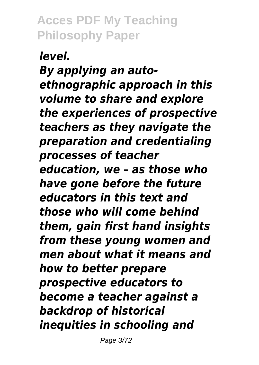*level. By applying an autoethnographic approach in this volume to share and explore the experiences of prospective teachers as they navigate the preparation and credentialing processes of teacher education, we – as those who have gone before the future educators in this text and those who will come behind them, gain first hand insights from these young women and men about what it means and how to better prepare prospective educators to become a teacher against a backdrop of historical inequities in schooling and*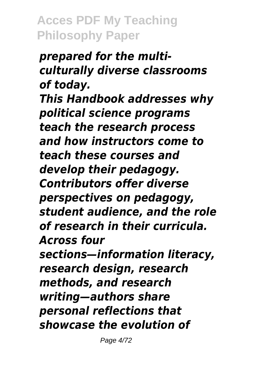### *prepared for the multiculturally diverse classrooms of today. This Handbook addresses why political science programs teach the research process and how instructors come to teach these courses and develop their pedagogy. Contributors offer diverse perspectives on pedagogy, student audience, and the role of research in their curricula. Across four sections—information literacy, research design, research*

*methods, and research writing—authors share personal reflections that showcase the evolution of*

Page 4/72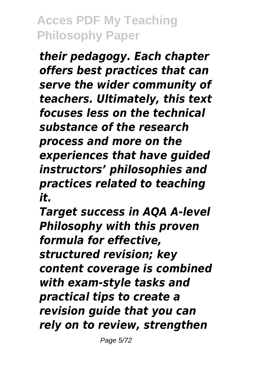*their pedagogy. Each chapter offers best practices that can serve the wider community of teachers. Ultimately, this text focuses less on the technical substance of the research process and more on the experiences that have guided instructors' philosophies and practices related to teaching it.*

*Target success in AQA A-level Philosophy with this proven formula for effective, structured revision; key content coverage is combined with exam-style tasks and practical tips to create a revision guide that you can rely on to review, strengthen*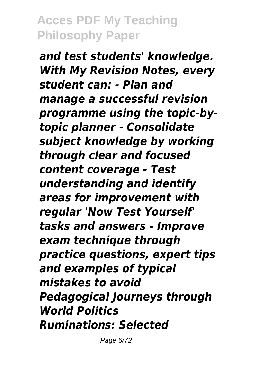*and test students' knowledge. With My Revision Notes, every student can: - Plan and manage a successful revision programme using the topic-bytopic planner - Consolidate subject knowledge by working through clear and focused content coverage - Test understanding and identify areas for improvement with regular 'Now Test Yourself' tasks and answers - Improve exam technique through practice questions, expert tips and examples of typical mistakes to avoid Pedagogical Journeys through World Politics Ruminations: Selected*

Page 6/72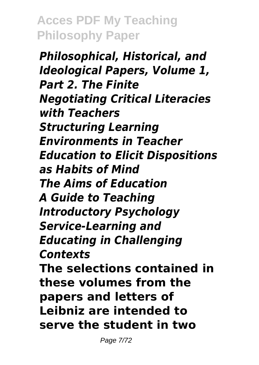*Philosophical, Historical, and Ideological Papers, Volume 1, Part 2. The Finite Negotiating Critical Literacies with Teachers Structuring Learning Environments in Teacher Education to Elicit Dispositions as Habits of Mind The Aims of Education A Guide to Teaching Introductory Psychology Service-Learning and Educating in Challenging Contexts* **The selections contained in these volumes from the papers and letters of Leibniz are intended to serve the student in two**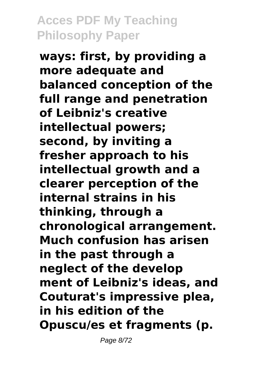**ways: first, by providing a more adequate and balanced conception of the full range and penetration of Leibniz's creative intellectual powers; second, by inviting a fresher approach to his intellectual growth and a clearer perception of the internal strains in his thinking, through a chronological arrangement. Much confusion has arisen in the past through a neglect of the develop ment of Leibniz's ideas, and Couturat's impressive plea, in his edition of the Opuscu/es et fragments (p.**

Page 8/72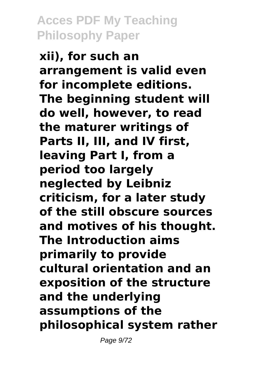**xii), for such an arrangement is valid even for incomplete editions. The beginning student will do well, however, to read the maturer writings of Parts II, III, and IV first, leaving Part I, from a period too largely neglected by Leibniz criticism, for a later study of the still obscure sources and motives of his thought. The Introduction aims primarily to provide cultural orientation and an exposition of the structure and the underlying assumptions of the philosophical system rather**

Page 9/72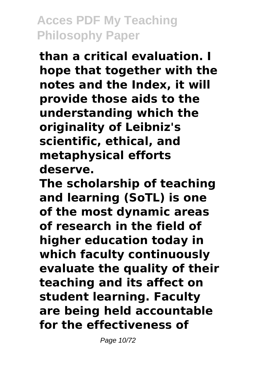**than a critical evaluation. I hope that together with the notes and the Index, it will provide those aids to the understanding which the originality of Leibniz's scientific, ethical, and metaphysical efforts deserve.**

**The scholarship of teaching and learning (SoTL) is one of the most dynamic areas of research in the field of higher education today in which faculty continuously evaluate the quality of their teaching and its affect on student learning. Faculty are being held accountable for the effectiveness of**

Page 10/72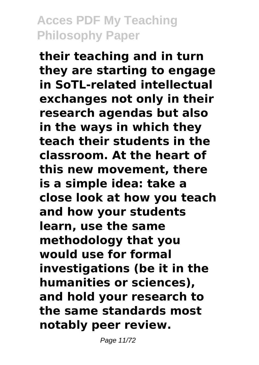**their teaching and in turn they are starting to engage in SoTL-related intellectual exchanges not only in their research agendas but also in the ways in which they teach their students in the classroom. At the heart of this new movement, there is a simple idea: take a close look at how you teach and how your students learn, use the same methodology that you would use for formal investigations (be it in the humanities or sciences), and hold your research to the same standards most notably peer review.**

Page 11/72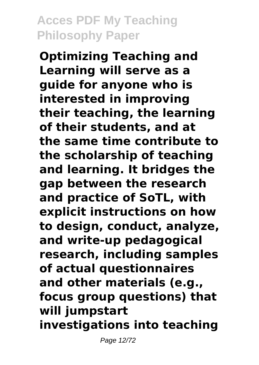**Optimizing Teaching and Learning will serve as a guide for anyone who is interested in improving their teaching, the learning of their students, and at the same time contribute to the scholarship of teaching and learning. It bridges the gap between the research and practice of SoTL, with explicit instructions on how to design, conduct, analyze, and write-up pedagogical research, including samples of actual questionnaires and other materials (e.g., focus group questions) that will jumpstart investigations into teaching**

Page 12/72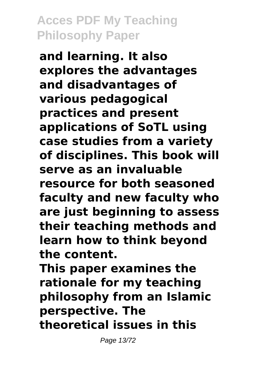**and learning. It also explores the advantages and disadvantages of various pedagogical practices and present applications of SoTL using case studies from a variety of disciplines. This book will serve as an invaluable resource for both seasoned faculty and new faculty who are just beginning to assess their teaching methods and learn how to think beyond the content.**

**This paper examines the rationale for my teaching philosophy from an Islamic perspective. The theoretical issues in this**

Page 13/72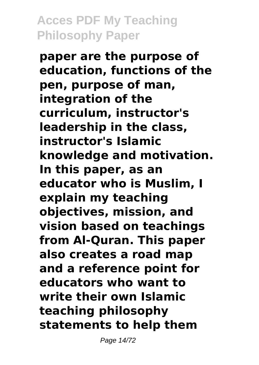**paper are the purpose of education, functions of the pen, purpose of man, integration of the curriculum, instructor's leadership in the class, instructor's Islamic knowledge and motivation. In this paper, as an educator who is Muslim, I explain my teaching objectives, mission, and vision based on teachings from Al-Quran. This paper also creates a road map and a reference point for educators who want to write their own Islamic teaching philosophy statements to help them**

Page 14/72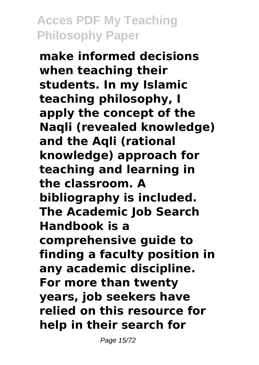**make informed decisions when teaching their students. In my Islamic teaching philosophy, I apply the concept of the Naqli (revealed knowledge) and the Aqli (rational knowledge) approach for teaching and learning in the classroom. A bibliography is included. The Academic Job Search Handbook is a comprehensive guide to finding a faculty position in any academic discipline. For more than twenty years, job seekers have relied on this resource for help in their search for**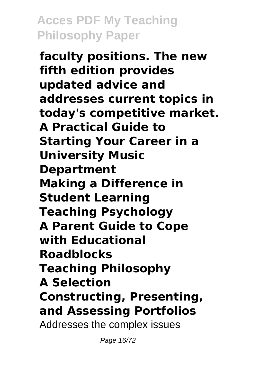**faculty positions. The new fifth edition provides updated advice and addresses current topics in today's competitive market. A Practical Guide to Starting Your Career in a University Music Department Making a Difference in Student Learning Teaching Psychology A Parent Guide to Cope with Educational Roadblocks Teaching Philosophy A Selection Constructing, Presenting, and Assessing Portfolios** Addresses the complex issues

Page 16/72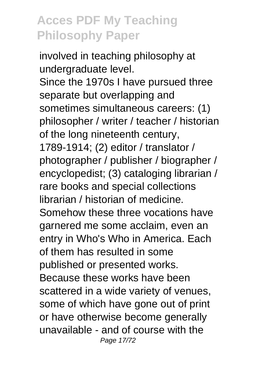involved in teaching philosophy at undergraduate level. Since the 1970s I have pursued three separate but overlapping and sometimes simultaneous careers: (1) philosopher / writer / teacher / historian of the long nineteenth century, 1789-1914; (2) editor / translator / photographer / publisher / biographer / encyclopedist; (3) cataloging librarian / rare books and special collections librarian / historian of medicine. Somehow these three vocations have garnered me some acclaim, even an entry in Who's Who in America. Each of them has resulted in some published or presented works. Because these works have been scattered in a wide variety of venues, some of which have gone out of print or have otherwise become generally unavailable - and of course with the Page 17/72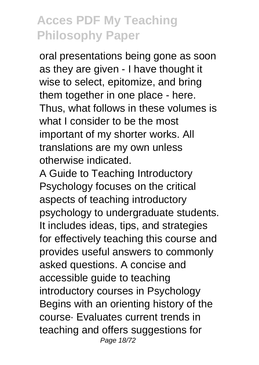oral presentations being gone as soon as they are given - I have thought it wise to select, epitomize, and bring them together in one place - here. Thus, what follows in these volumes is what I consider to be the most important of my shorter works. All translations are my own unless otherwise indicated.

A Guide to Teaching Introductory Psychology focuses on the critical aspects of teaching introductory psychology to undergraduate students. It includes ideas, tips, and strategies for effectively teaching this course and provides useful answers to commonly asked questions. A concise and accessible guide to teaching introductory courses in Psychology Begins with an orienting history of the course· Evaluates current trends in teaching and offers suggestions for Page 18/72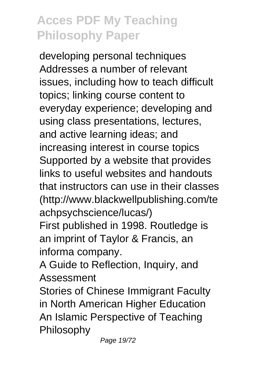developing personal techniques Addresses a number of relevant issues, including how to teach difficult topics; linking course content to everyday experience; developing and using class presentations, lectures, and active learning ideas; and increasing interest in course topics Supported by a website that provides links to useful websites and handouts that instructors can use in their classes (http://www.blackwellpublishing.com/te achpsychscience/lucas/)

First published in 1998. Routledge is an imprint of Taylor & Francis, an informa company.

A Guide to Reflection, Inquiry, and Assessment

Stories of Chinese Immigrant Faculty in North American Higher Education An Islamic Perspective of Teaching Philosophy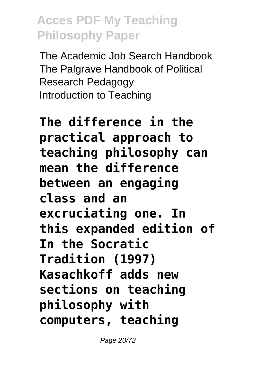The Academic Job Search Handbook The Palgrave Handbook of Political Research Pedagogy Introduction to Teaching

# **The difference in the practical approach to teaching philosophy can mean the difference between an engaging class and an excruciating one. In this expanded edition of In the Socratic Tradition (1997) Kasachkoff adds new sections on teaching philosophy with computers, teaching**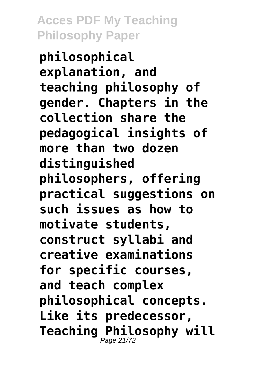**philosophical explanation, and teaching philosophy of gender. Chapters in the collection share the pedagogical insights of more than two dozen distinguished philosophers, offering practical suggestions on such issues as how to motivate students, construct syllabi and creative examinations for specific courses, and teach complex philosophical concepts. Like its predecessor, Teaching Philosophy will** Page 21/72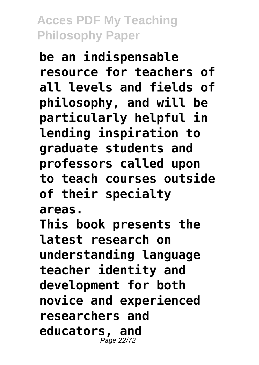**be an indispensable resource for teachers of all levels and fields of philosophy, and will be particularly helpful in lending inspiration to graduate students and professors called upon to teach courses outside of their specialty areas.**

**This book presents the latest research on understanding language teacher identity and development for both novice and experienced researchers and educators, and** Page 22/72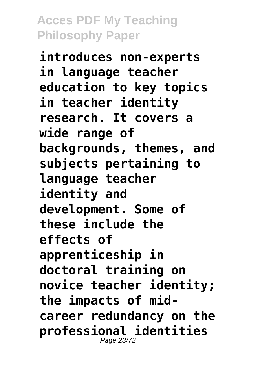**introduces non-experts in language teacher education to key topics in teacher identity research. It covers a wide range of backgrounds, themes, and subjects pertaining to language teacher identity and development. Some of these include the effects of apprenticeship in doctoral training on novice teacher identity; the impacts of midcareer redundancy on the professional identities** Page 23/72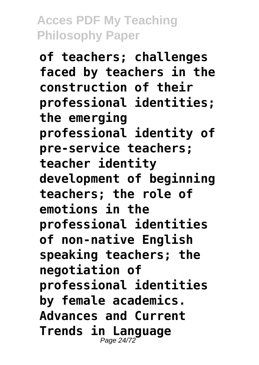**of teachers; challenges faced by teachers in the construction of their professional identities; the emerging professional identity of pre-service teachers; teacher identity development of beginning teachers; the role of emotions in the professional identities of non-native English speaking teachers; the negotiation of professional identities by female academics. Advances and Current Trends in Language** Page 24/72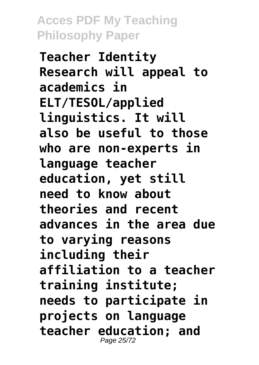**Teacher Identity Research will appeal to academics in ELT/TESOL/applied linguistics. It will also be useful to those who are non-experts in language teacher education, yet still need to know about theories and recent advances in the area due to varying reasons including their affiliation to a teacher training institute; needs to participate in projects on language teacher education; and** Page 25/72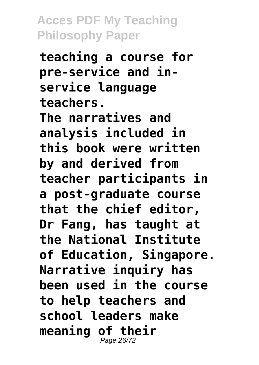**teaching a course for pre-service and inservice language teachers. The narratives and analysis included in this book were written by and derived from teacher participants in a post-graduate course that the chief editor, Dr Fang, has taught at the National Institute of Education, Singapore. Narrative inquiry has been used in the course to help teachers and school leaders make meaning of their** Page 26/72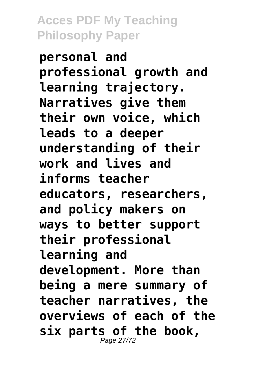**personal and professional growth and learning trajectory. Narratives give them their own voice, which leads to a deeper understanding of their work and lives and informs teacher educators, researchers, and policy makers on ways to better support their professional learning and development. More than being a mere summary of teacher narratives, the overviews of each of the six parts of the book,** Page 27/7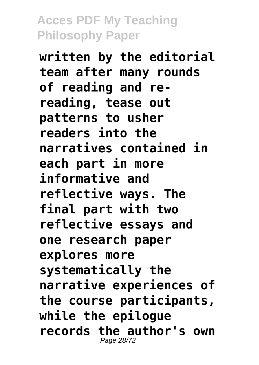**written by the editorial team after many rounds of reading and rereading, tease out patterns to usher readers into the narratives contained in each part in more informative and reflective ways. The final part with two reflective essays and one research paper explores more systematically the narrative experiences of the course participants, while the epilogue records the author's own** Page 28/72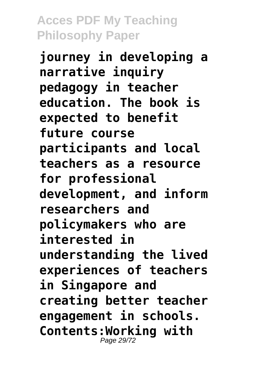**journey in developing a narrative inquiry pedagogy in teacher education. The book is expected to benefit future course participants and local teachers as a resource for professional development, and inform researchers and policymakers who are interested in understanding the lived experiences of teachers in Singapore and creating better teacher engagement in schools. Contents:Working with** Page 29/72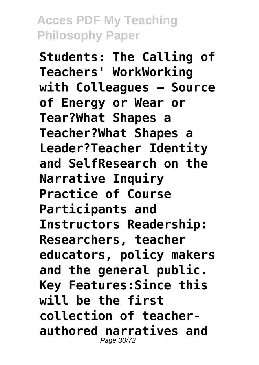**Students: The Calling of Teachers' WorkWorking with Colleagues — Source of Energy or Wear or Tear?What Shapes a Teacher?What Shapes a Leader?Teacher Identity and SelfResearch on the Narrative Inquiry Practice of Course Participants and Instructors Readership: Researchers, teacher educators, policy makers and the general public. Key Features:Since this will be the first collection of teacherauthored narratives and** Page 30/72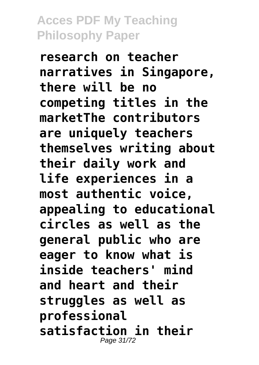**research on teacher narratives in Singapore, there will be no competing titles in the marketThe contributors are uniquely teachers themselves writing about their daily work and life experiences in a most authentic voice, appealing to educational circles as well as the general public who are eager to know what is inside teachers' mind and heart and their struggles as well as professional satisfaction in their** Page 31/72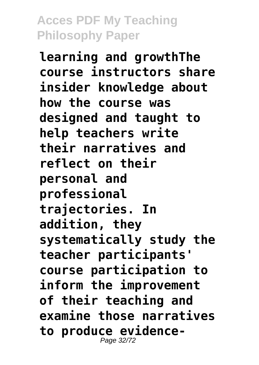**learning and growthThe course instructors share insider knowledge about how the course was designed and taught to help teachers write their narratives and reflect on their personal and professional trajectories. In addition, they systematically study the teacher participants' course participation to inform the improvement of their teaching and examine those narratives to produce evidence-**Page 32/72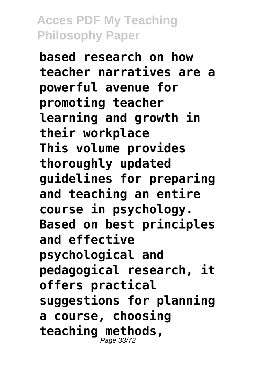**based research on how teacher narratives are a powerful avenue for promoting teacher learning and growth in their workplace This volume provides thoroughly updated guidelines for preparing and teaching an entire course in psychology. Based on best principles and effective psychological and pedagogical research, it offers practical suggestions for planning a course, choosing teaching methods,** Page 33/72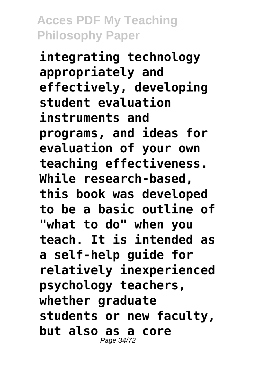**integrating technology appropriately and effectively, developing student evaluation instruments and programs, and ideas for evaluation of your own teaching effectiveness. While research-based, this book was developed to be a basic outline of "what to do" when you teach. It is intended as a self-help guide for relatively inexperienced psychology teachers, whether graduate students or new faculty, but also as a core** Page 34/72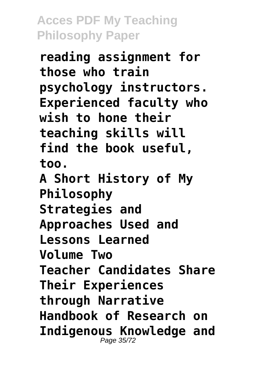**reading assignment for those who train psychology instructors. Experienced faculty who wish to hone their teaching skills will find the book useful, too. A Short History of My Philosophy Strategies and Approaches Used and Lessons Learned Volume Two Teacher Candidates Share Their Experiences through Narrative Handbook of Research on Indigenous Knowledge and** Page 35/72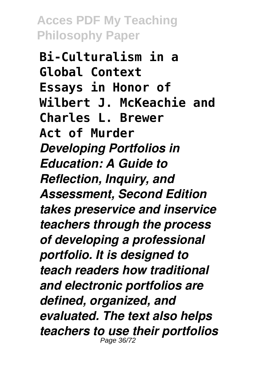**Bi-Culturalism in a Global Context Essays in Honor of Wilbert J. McKeachie and Charles L. Brewer Act of Murder** *Developing Portfolios in Education: A Guide to Reflection, Inquiry, and Assessment, Second Edition takes preservice and inservice teachers through the process of developing a professional portfolio. It is designed to teach readers how traditional and electronic portfolios are defined, organized, and evaluated. The text also helps teachers to use their portfolios* Page 36/72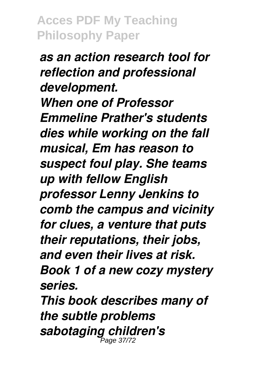*as an action research tool for reflection and professional development. When one of Professor Emmeline Prather's students dies while working on the fall musical, Em has reason to suspect foul play. She teams up with fellow English professor Lenny Jenkins to comb the campus and vicinity for clues, a venture that puts their reputations, their jobs, and even their lives at risk. Book 1 of a new cozy mystery series.*

*This book describes many of the subtle problems sabotaging children's* Page 37/72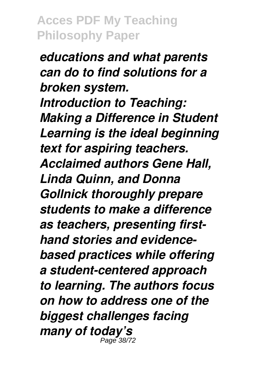*educations and what parents can do to find solutions for a broken system. Introduction to Teaching: Making a Difference in Student Learning is the ideal beginning text for aspiring teachers. Acclaimed authors Gene Hall, Linda Quinn, and Donna Gollnick thoroughly prepare students to make a difference as teachers, presenting firsthand stories and evidencebased practices while offering a student-centered approach to learning. The authors focus on how to address one of the biggest challenges facing many of today's* Page 38/72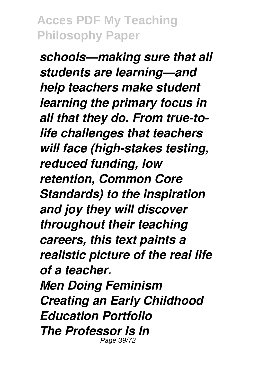*schools—making sure that all students are learning—and help teachers make student learning the primary focus in all that they do. From true-tolife challenges that teachers will face (high-stakes testing, reduced funding, low retention, Common Core Standards) to the inspiration and joy they will discover throughout their teaching careers, this text paints a realistic picture of the real life of a teacher. Men Doing Feminism Creating an Early Childhood Education Portfolio The Professor Is In* Page 39/72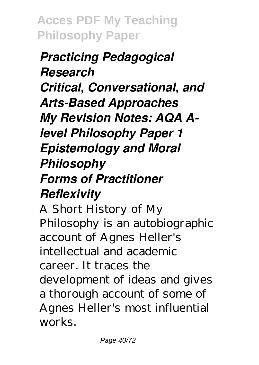# *Practicing Pedagogical Research Critical, Conversational, and Arts-Based Approaches My Revision Notes: AQA Alevel Philosophy Paper 1 Epistemology and Moral Philosophy Forms of Practitioner Reflexivity*

A Short History of My Philosophy is an autobiographic account of Agnes Heller's intellectual and academic career. It traces the development of ideas and gives a thorough account of some of Agnes Heller's most influential works.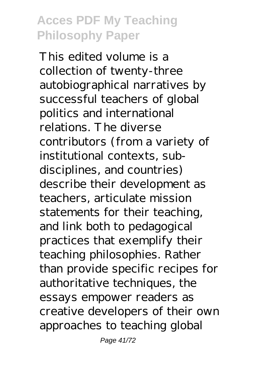This edited volume is a collection of twenty-three autobiographical narratives by successful teachers of global politics and international relations. The diverse contributors (from a variety of institutional contexts, subdisciplines, and countries) describe their development as teachers, articulate mission statements for their teaching, and link both to pedagogical practices that exemplify their teaching philosophies. Rather than provide specific recipes for authoritative techniques, the essays empower readers as creative developers of their own approaches to teaching global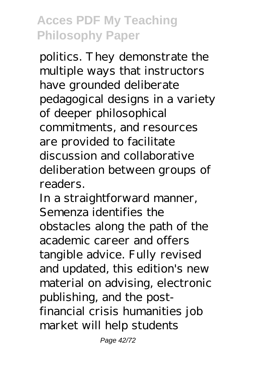politics. They demonstrate the multiple ways that instructors have grounded deliberate pedagogical designs in a variety of deeper philosophical commitments, and resources are provided to facilitate discussion and collaborative deliberation between groups of readers.

In a straightforward manner, Semenza identifies the obstacles along the path of the academic career and offers tangible advice. Fully revised and updated, this edition's new material on advising, electronic publishing, and the postfinancial crisis humanities job market will help students

Page 42/72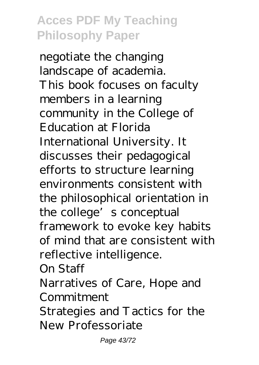negotiate the changing landscape of academia. This book focuses on faculty members in a learning community in the College of Education at Florida International University. It discusses their pedagogical efforts to structure learning environments consistent with the philosophical orientation in the college's conceptual framework to evoke key habits of mind that are consistent with reflective intelligence.

On Staff

Narratives of Care, Hope and Commitment

Strategies and Tactics for the New Professoriate

Page 43/72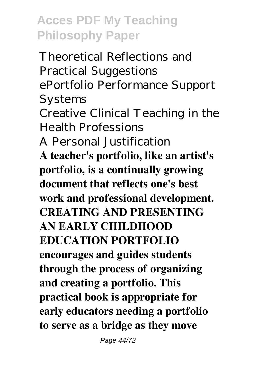Theoretical Reflections and Practical Suggestions ePortfolio Performance Support Systems Creative Clinical Teaching in the Health Professions A Personal Justification **A teacher's portfolio, like an artist's portfolio, is a continually growing document that reflects one's best work and professional development. CREATING AND PRESENTING AN EARLY CHILDHOOD EDUCATION PORTFOLIO encourages and guides students through the process of organizing and creating a portfolio. This practical book is appropriate for early educators needing a portfolio to serve as a bridge as they move**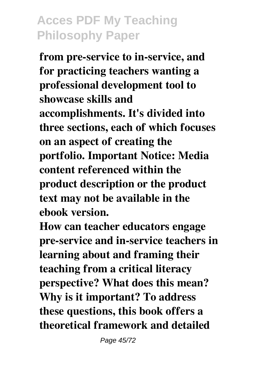**from pre-service to in-service, and for practicing teachers wanting a professional development tool to showcase skills and accomplishments. It's divided into three sections, each of which focuses on an aspect of creating the portfolio. Important Notice: Media content referenced within the product description or the product text may not be available in the ebook version.**

**How can teacher educators engage pre-service and in-service teachers in learning about and framing their teaching from a critical literacy perspective? What does this mean? Why is it important? To address these questions, this book offers a theoretical framework and detailed**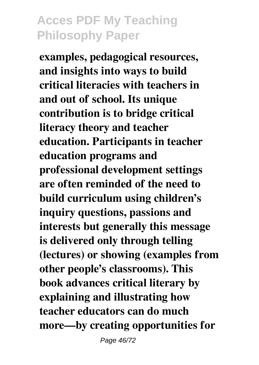**examples, pedagogical resources, and insights into ways to build critical literacies with teachers in and out of school. Its unique contribution is to bridge critical literacy theory and teacher education. Participants in teacher education programs and professional development settings are often reminded of the need to build curriculum using children's inquiry questions, passions and interests but generally this message is delivered only through telling (lectures) or showing (examples from other people's classrooms). This book advances critical literary by explaining and illustrating how teacher educators can do much more—by creating opportunities for**

Page 46/72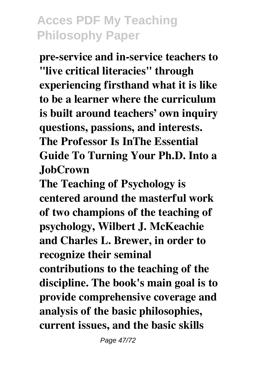**pre-service and in-service teachers to "live critical literacies" through experiencing firsthand what it is like to be a learner where the curriculum is built around teachers' own inquiry questions, passions, and interests. The Professor Is InThe Essential Guide To Turning Your Ph.D. Into a JobCrown**

**The Teaching of Psychology is centered around the masterful work of two champions of the teaching of psychology, Wilbert J. McKeachie and Charles L. Brewer, in order to recognize their seminal**

**contributions to the teaching of the discipline. The book's main goal is to provide comprehensive coverage and analysis of the basic philosophies, current issues, and the basic skills**

Page 47/72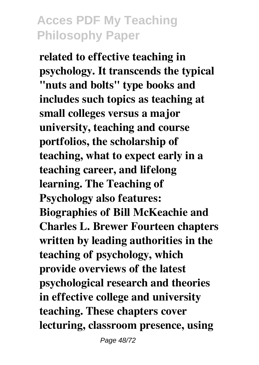**related to effective teaching in psychology. It transcends the typical "nuts and bolts" type books and includes such topics as teaching at small colleges versus a major university, teaching and course portfolios, the scholarship of teaching, what to expect early in a teaching career, and lifelong learning. The Teaching of Psychology also features: Biographies of Bill McKeachie and Charles L. Brewer Fourteen chapters written by leading authorities in the teaching of psychology, which provide overviews of the latest psychological research and theories in effective college and university teaching. These chapters cover lecturing, classroom presence, using**

Page 48/72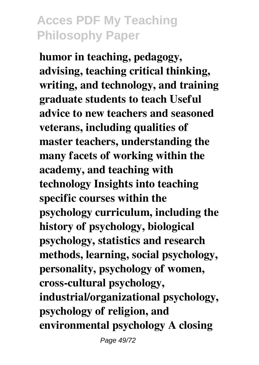**humor in teaching, pedagogy, advising, teaching critical thinking, writing, and technology, and training graduate students to teach Useful advice to new teachers and seasoned veterans, including qualities of master teachers, understanding the many facets of working within the academy, and teaching with technology Insights into teaching specific courses within the psychology curriculum, including the history of psychology, biological psychology, statistics and research methods, learning, social psychology, personality, psychology of women, cross-cultural psychology, industrial/organizational psychology, psychology of religion, and environmental psychology A closing**

Page 49/72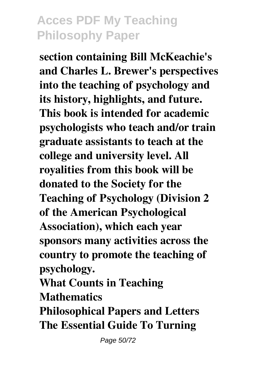**section containing Bill McKeachie's and Charles L. Brewer's perspectives into the teaching of psychology and its history, highlights, and future. This book is intended for academic psychologists who teach and/or train graduate assistants to teach at the college and university level. All royalities from this book will be donated to the Society for the Teaching of Psychology (Division 2 of the American Psychological Association), which each year sponsors many activities across the country to promote the teaching of psychology.**

**What Counts in Teaching Mathematics**

**Philosophical Papers and Letters The Essential Guide To Turning**

Page 50/72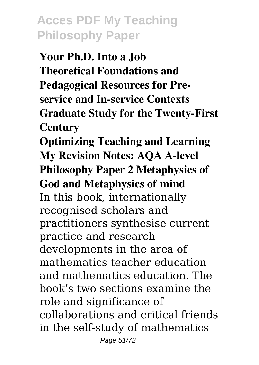**Your Ph.D. Into a Job Theoretical Foundations and Pedagogical Resources for Preservice and In-service Contexts Graduate Study for the Twenty-First Century**

**Optimizing Teaching and Learning My Revision Notes: AQA A-level Philosophy Paper 2 Metaphysics of God and Metaphysics of mind** In this book, internationally recognised scholars and practitioners synthesise current practice and research developments in the area of mathematics teacher education and mathematics education. The book's two sections examine the role and significance of collaborations and critical friends in the self-study of mathematics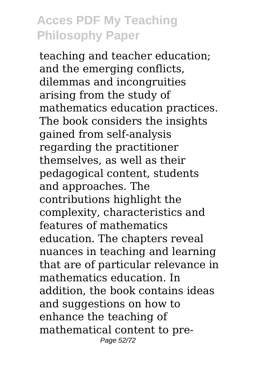teaching and teacher education; and the emerging conflicts, dilemmas and incongruities arising from the study of mathematics education practices. The book considers the insights gained from self-analysis regarding the practitioner themselves, as well as their pedagogical content, students and approaches. The contributions highlight the complexity, characteristics and features of mathematics education. The chapters reveal nuances in teaching and learning that are of particular relevance in mathematics education. In addition, the book contains ideas and suggestions on how to enhance the teaching of mathematical content to pre-Page 52/72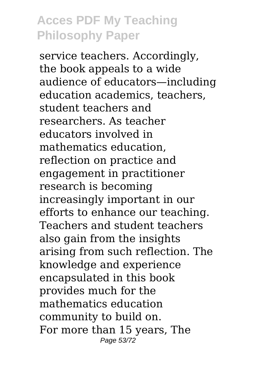service teachers. Accordingly, the book appeals to a wide audience of educators—including education academics, teachers, student teachers and researchers. As teacher educators involved in mathematics education, reflection on practice and engagement in practitioner research is becoming increasingly important in our efforts to enhance our teaching. Teachers and student teachers also gain from the insights arising from such reflection. The knowledge and experience encapsulated in this book provides much for the mathematics education community to build on. For more than 15 years, The Page 53/72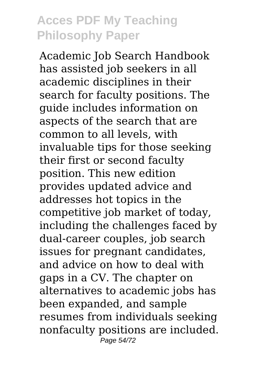Academic Job Search Handbook has assisted job seekers in all academic disciplines in their search for faculty positions. The guide includes information on aspects of the search that are common to all levels, with invaluable tips for those seeking their first or second faculty position. This new edition provides updated advice and addresses hot topics in the competitive job market of today, including the challenges faced by dual-career couples, job search issues for pregnant candidates, and advice on how to deal with gaps in a CV. The chapter on alternatives to academic jobs has been expanded, and sample resumes from individuals seeking nonfaculty positions are included. Page 54/72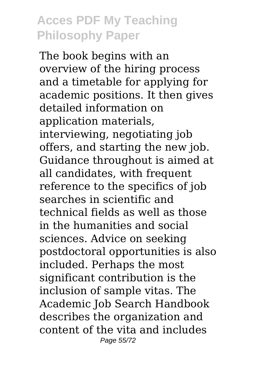The book begins with an overview of the hiring process and a timetable for applying for academic positions. It then gives detailed information on application materials, interviewing, negotiating job offers, and starting the new job. Guidance throughout is aimed at all candidates, with frequent reference to the specifics of job searches in scientific and technical fields as well as those in the humanities and social sciences. Advice on seeking postdoctoral opportunities is also included. Perhaps the most significant contribution is the inclusion of sample vitas. The Academic Job Search Handbook describes the organization and content of the vita and includes Page 55/72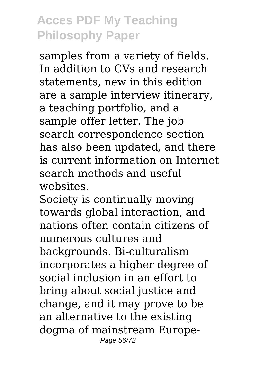samples from a variety of fields. In addition to CVs and research statements, new in this edition are a sample interview itinerary, a teaching portfolio, and a sample offer letter. The job search correspondence section has also been updated, and there is current information on Internet search methods and useful websites.

Society is continually moving towards global interaction, and nations often contain citizens of numerous cultures and backgrounds. Bi-culturalism incorporates a higher degree of social inclusion in an effort to bring about social justice and change, and it may prove to be an alternative to the existing dogma of mainstream Europe-Page 56/72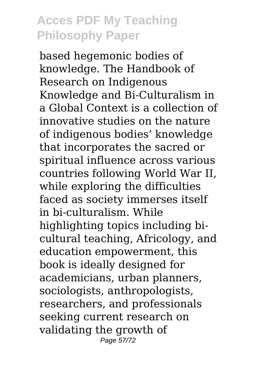based hegemonic bodies of knowledge. The Handbook of Research on Indigenous Knowledge and Bi-Culturalism in a Global Context is a collection of innovative studies on the nature of indigenous bodies' knowledge that incorporates the sacred or spiritual influence across various countries following World War II, while exploring the difficulties faced as society immerses itself in bi-culturalism. While highlighting topics including bicultural teaching, Africology, and education empowerment, this book is ideally designed for academicians, urban planners, sociologists, anthropologists, researchers, and professionals seeking current research on validating the growth of Page 57/72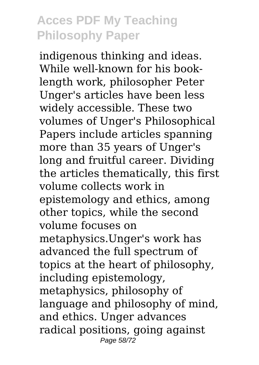indigenous thinking and ideas. While well-known for his booklength work, philosopher Peter Unger's articles have been less widely accessible. These two volumes of Unger's Philosophical Papers include articles spanning more than 35 years of Unger's long and fruitful career. Dividing the articles thematically, this first volume collects work in epistemology and ethics, among other topics, while the second volume focuses on metaphysics.Unger's work has advanced the full spectrum of topics at the heart of philosophy, including epistemology, metaphysics, philosophy of language and philosophy of mind, and ethics. Unger advances radical positions, going against Page 58/72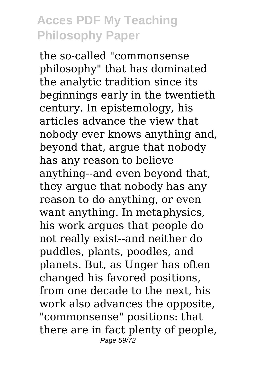the so-called "commonsense philosophy" that has dominated the analytic tradition since its beginnings early in the twentieth century. In epistemology, his articles advance the view that nobody ever knows anything and, beyond that, argue that nobody has any reason to believe anything--and even beyond that, they argue that nobody has any reason to do anything, or even want anything. In metaphysics, his work argues that people do not really exist--and neither do puddles, plants, poodles, and planets. But, as Unger has often changed his favored positions, from one decade to the next, his work also advances the opposite, "commonsense" positions: that there are in fact plenty of people, Page 59/72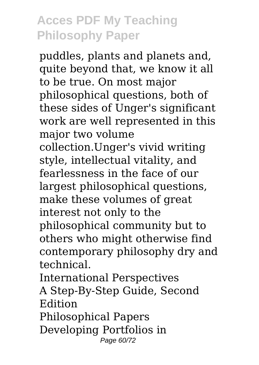puddles, plants and planets and, quite beyond that, we know it all to be true. On most major philosophical questions, both of these sides of Unger's significant work are well represented in this major two volume collection.Unger's vivid writing style, intellectual vitality, and fearlessness in the face of our largest philosophical questions, make these volumes of great interest not only to the philosophical community but to others who might otherwise find contemporary philosophy dry and technical. International Perspectives

A Step-By-Step Guide, Second Edition

Philosophical Papers Developing Portfolios in Page 60/72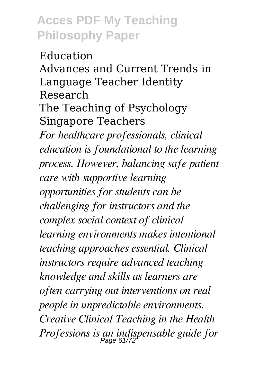Education Advances and Current Trends in Language Teacher Identity Research The Teaching of Psychology Singapore Teachers *For healthcare professionals, clinical education is foundational to the learning process. However, balancing safe patient care with supportive learning opportunities for students can be challenging for instructors and the complex social context of clinical learning environments makes intentional teaching approaches essential. Clinical instructors require advanced teaching knowledge and skills as learners are often carrying out interventions on real people in unpredictable environments. Creative Clinical Teaching in the Health Professions is an indispensable guide for* Page 61/72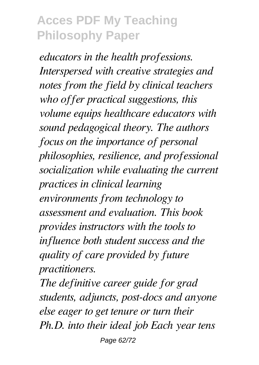*educators in the health professions. Interspersed with creative strategies and notes from the field by clinical teachers who offer practical suggestions, this volume equips healthcare educators with sound pedagogical theory. The authors focus on the importance of personal philosophies, resilience, and professional socialization while evaluating the current practices in clinical learning environments from technology to assessment and evaluation. This book provides instructors with the tools to influence both student success and the quality of care provided by future practitioners.*

*The definitive career guide for grad students, adjuncts, post-docs and anyone else eager to get tenure or turn their Ph.D. into their ideal job Each year tens* Page 62/72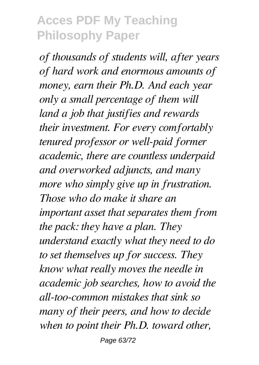*of thousands of students will, after years of hard work and enormous amounts of money, earn their Ph.D. And each year only a small percentage of them will land a job that justifies and rewards their investment. For every comfortably tenured professor or well-paid former academic, there are countless underpaid and overworked adjuncts, and many more who simply give up in frustration. Those who do make it share an important asset that separates them from the pack: they have a plan. They understand exactly what they need to do to set themselves up for success. They know what really moves the needle in academic job searches, how to avoid the all-too-common mistakes that sink so many of their peers, and how to decide when to point their Ph.D. toward other,*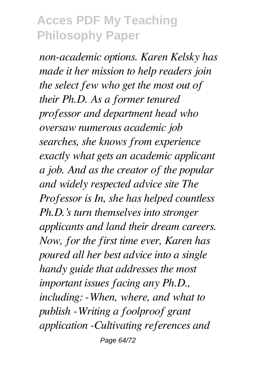*non-academic options. Karen Kelsky has made it her mission to help readers join the select few who get the most out of their Ph.D. As a former tenured professor and department head who oversaw numerous academic job searches, she knows from experience exactly what gets an academic applicant a job. And as the creator of the popular and widely respected advice site The Professor is In, she has helped countless Ph.D.'s turn themselves into stronger applicants and land their dream careers. Now, for the first time ever, Karen has poured all her best advice into a single handy guide that addresses the most important issues facing any Ph.D., including: -When, where, and what to publish -Writing a foolproof grant application -Cultivating references and* Page 64/72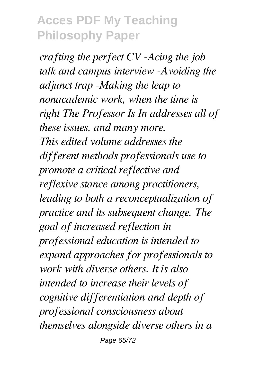*crafting the perfect CV -Acing the job talk and campus interview -Avoiding the adjunct trap -Making the leap to nonacademic work, when the time is right The Professor Is In addresses all of these issues, and many more. This edited volume addresses the different methods professionals use to promote a critical reflective and reflexive stance among practitioners, leading to both a reconceptualization of practice and its subsequent change. The goal of increased reflection in professional education is intended to expand approaches for professionals to work with diverse others. It is also intended to increase their levels of cognitive differentiation and depth of professional consciousness about themselves alongside diverse others in a* Page 65/72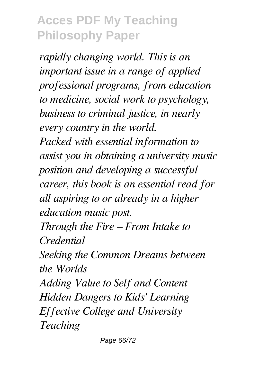*rapidly changing world. This is an important issue in a range of applied professional programs, from education to medicine, social work to psychology, business to criminal justice, in nearly every country in the world. Packed with essential information to assist you in obtaining a university music position and developing a successful career, this book is an essential read for all aspiring to or already in a higher education music post. Through the Fire – From Intake to Credential Seeking the Common Dreams between the Worlds Adding Value to Self and Content Hidden Dangers to Kids' Learning Effective College and University Teaching*

Page 66/72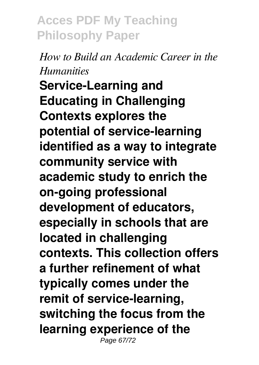#### *How to Build an Academic Career in the Humanities*

**Service-Learning and Educating in Challenging Contexts explores the potential of service-learning identified as a way to integrate community service with academic study to enrich the on-going professional development of educators, especially in schools that are located in challenging contexts. This collection offers a further refinement of what typically comes under the remit of service-learning, switching the focus from the learning experience of the** Page 67/72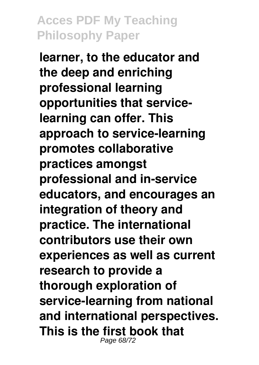**learner, to the educator and the deep and enriching professional learning opportunities that servicelearning can offer. This approach to service-learning promotes collaborative practices amongst professional and in-service educators, and encourages an integration of theory and practice. The international contributors use their own experiences as well as current research to provide a thorough exploration of service-learning from national and international perspectives. This is the first book that** Page 68/72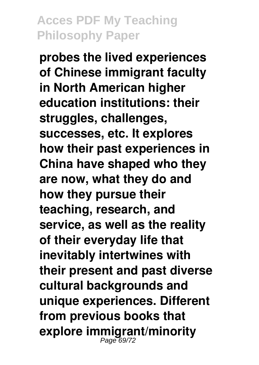**probes the lived experiences of Chinese immigrant faculty in North American higher education institutions: their struggles, challenges, successes, etc. It explores how their past experiences in China have shaped who they are now, what they do and how they pursue their teaching, research, and service, as well as the reality of their everyday life that inevitably intertwines with their present and past diverse cultural backgrounds and unique experiences. Different from previous books that explore immigrant/minority** Page 69/72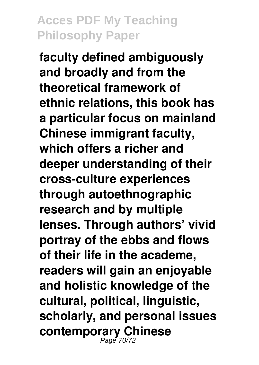**faculty defined ambiguously and broadly and from the theoretical framework of ethnic relations, this book has a particular focus on mainland Chinese immigrant faculty, which offers a richer and deeper understanding of their cross-culture experiences through autoethnographic research and by multiple lenses. Through authors' vivid portray of the ebbs and flows of their life in the academe, readers will gain an enjoyable and holistic knowledge of the cultural, political, linguistic, scholarly, and personal issues contemporary Chinese** Page 70/72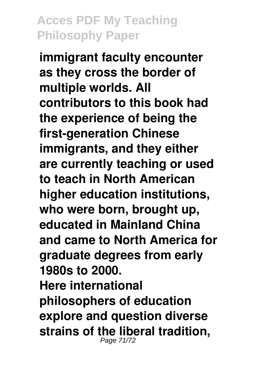**immigrant faculty encounter as they cross the border of multiple worlds. All contributors to this book had the experience of being the first-generation Chinese immigrants, and they either are currently teaching or used to teach in North American higher education institutions, who were born, brought up, educated in Mainland China and came to North America for graduate degrees from early 1980s to 2000. Here international philosophers of education explore and question diverse strains of the liberal tradition,** Page 71/72